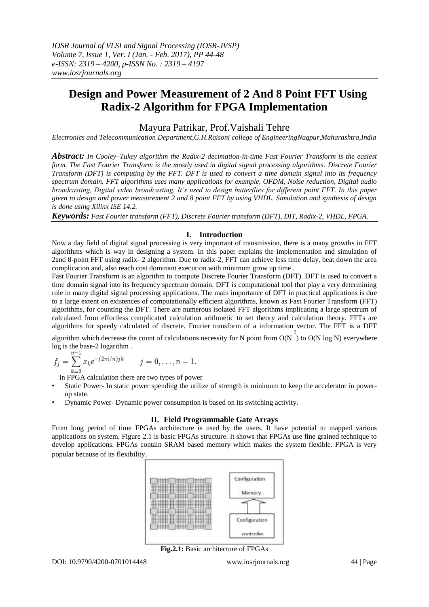# **Design and Power Measurement of 2 And 8 Point FFT Using Radix-2 Algorithm for FPGA Implementation**

# Mayura Patrikar, Prof.Vaishali Tehre

*Electronics and Telecommunication Department,G.H.Raisoni college of EngineeringNagpur,Maharashtra,India*

*Abstract: In Cooley–Tukey algorithm the Radix-2 decimation-in-time Fast Fourier Transform is the easiest form. The Fast Fourier Transform is the mostly used in digital signal processing algorithms. Discrete Fourier Transform (DFT) is computing by the FFT. DFT is used to convert a time domain signal into its frequency spectrum domain. FFT algorithms uses many applications for example, OFDM, Noise reduction, Digital audio broadcasting, Digital video broadcasting. It's used to design butterflies for different point FFT. In this paper given to design and power measurement 2 and 8 point FFT by using VHDL. Simulation and synthesis of design is done using Xilinx ISE 14.2.* 

*Keywords: Fast Fourier transform (FFT), Discrete Fourier transform (DFT), DIT, Radix-2, VHDL, FPGA.*

#### **I. Introduction**

Now a day field of digital signal processing is very important of transmission, there is a many growths in FFT algorithms which is way in designing a system. In this paper explains the implementation and simulation of 2and 8-point FFT using radix- 2 algorithm. Due to radix-2, FFT can achieve less time delay, beat down the area complication and, also reach cost dominant execution with minimum grow up time .

Fast Fourier Transform is an algorithm to compute Discrete Fourier Transform (DFT). DFT is used to convert a time domain signal into its frequency spectrum domain. DFT is computational tool that play a very determining role in many digital signal processing applications. The main importance of DFT in practical applications is due to a large extent on existences of computationally efficient algorithms, known as Fast Fourier Transform (FFT) algorithms, for counting the DFT. There are numerous isolated FFT algorithms implicating a large spectrum of calculated from effortless complicated calculation arithmetic to set theory and calculation theory. FFTs are algorithms for speedy calculated of discrete. Fourier transform of a information vector. The FFT is a DFT

algorithm which decrease the count of calculations necessity for N point from  $O(N)$  to  $O(N \log N)$  everywhere log is the base-2 logarithm .

$$
f_j = \sum_{k=0}^{n-1} x_k e^{-(2\pi i/n)jk} \qquad j = 0, \ldots, n-1.
$$

In FPGA calculation there are two types of power

- Static Power- In static power spending the utilize of strength is minimum to keep the accelerator in powerup state.
- Dynamic Power- Dynamic power consumption is based on its switching activity.

#### **II. Field Programmable Gate Arrays**

From long period of time FPGAs architecture is used by the users. It have potential to mapped various applications on system. Figure 2.1 is basic FPGAs structure. It shows that FPGAs use fine grained technique to develop applications. FPGAs contain SRAM based memory which makes the system flexible. FPGA is very popular because of its flexibility.



**Fig.2.1:** Basic architecture of FPGAs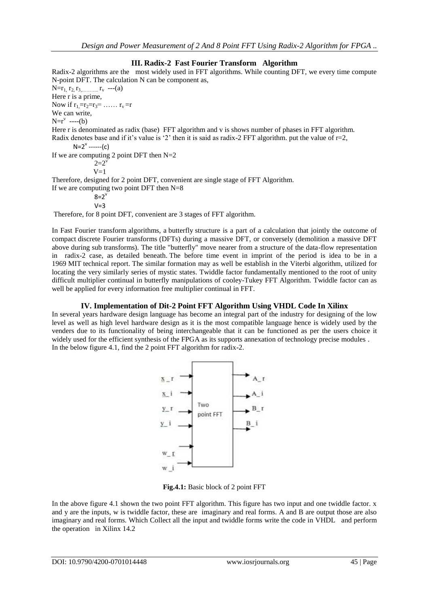### **III. Radix-2 Fast Fourier Transform Algorithm**

Radix-2 algorithms are the most widely used in FFT algorithms. While counting DFT, we every time compute N-point DFT. The calculation N can be component as,  $N=r_1, r_2, r_3, \ldots, r_v$  ---(a) Here r is a prime, Now if  $r_1=r_2=r_3=$  ……  $r_v=r$ We can write,  $N=r^{\nu}$  ----(b) Here r is denominated as radix (base) FFT algorithm and v is shows number of phases in FFT algorithm. Radix denotes base and if it's value is '2' then it is said as radix-2 FFT algorithm. put the value of  $r=2$ ,  $N=2^{\vee}$  ------(c) If we are computing 2 point DFT then  $N=2$  $2=2^{v}$  $V=1$ Therefore, designed for 2 point DFT, convenient are single stage of FFT Algorithm. If we are computing two point DFT then  $N=8$  $8=2^{\circ}$  $V=3$ Therefore, for 8 point DFT, convenient are 3 stages of FFT algorithm.

In [Fast Fourier transform](https://en.wikipedia.org/wiki/Fast_Fourier_transform) algorithms, a butterfly structure is a part of a calculation that jointly the outcome of compact [discrete Fourier transforms](https://en.wikipedia.org/wiki/Discrete_Fourier_transform) (DFTs) during a massive DFT, or conversely (demolition a massive DFT above during sub transforms). The title "butterfly" move nearer from a structure of the data-flow representation in radix-2 case, as detailed beneath. The before time event in imprint of the period is idea to be in a 1969 [MIT](https://en.wikipedia.org/wiki/Massachusetts_Institute_of_Technology) technical report. The similar formation may as well be establish in the [Viterbi algorithm,](https://en.wikipedia.org/wiki/Viterbi_algorithm) utilized for locating the very similarly series of mystic states. Twiddle factor fundamentally mentioned to the root of unity difficult multiplier continual in butterfly manipulations of cooley-Tukey FFT Algorithm. Twiddle factor can as well be applied for every information free multiplier continual in FFT.

#### **IV. Implementation of Dit-2 Point FFT Algorithm Using VHDL Code In Xilinx**

In several years hardware design language has become an integral part of the industry for designing of the low level as well as high level hardware design as it is the most compatible language hence is widely used by the venders due to its functionality of being interchangeable that it can be functioned as per the users choice it widely used for the efficient synthesis of the FPGA as its supports annexation of technology precise modules . In the below figure 4.1, find the 2 point FFT algorithm for radix-2.



**Fig.4.1:** Basic block of 2 point FFT

In the above figure 4.1 shown the two point FFT algorithm. This figure has two input and one twiddle factor. x and y are the inputs, w is twiddle factor, these are imaginary and real forms. A and B are output those are also imaginary and real forms. Which Collect all the input and twiddle forms write the code in VHDL and perform the operation in Xilinx 14.2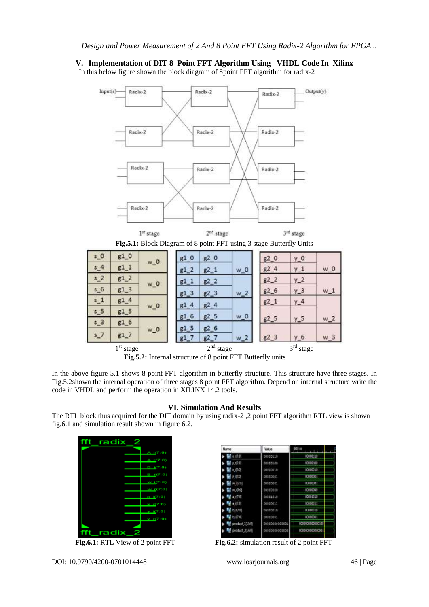# **V. Implementation of DIT 8 Point FFT Algorithm Using VHDL Code In Xilinx**

In this below figure shown the block diagram of 8point FFT algorithm for radix-2



 **Fig.5.2:** Internal structure of 8 point FFT Butterfly units

In the above figure 5.1 shows 8 point FFT algorithm in butterfly structure. This structure have three stages. In Fig.5.2shown the internal operation of three stages 8 point FFT algorithm. Depend on internal structure write the code in VHDL and perform the operation in XILINX 14.2 tools.

## **VI. Simulation And Results**

The RTL block thus acquired for the DIT domain by using radix-2 ,2 point FFT algorithm RTL view is shown fig.6.1 and simulation result shown in figure 6.2.



Fig.6.1: RTL View of 2 point FFT

| Name           | <b><i><u>Value</u></i></b> | $830 =$          |
|----------------|----------------------------|------------------|
| t (70)         | 00080110                   | 0000130          |
| 1.0年           | 00000140                   | 00000100         |
| t (72)         | 00000010                   | 00000010         |
| 1.070          | 00050081                   | 00000001         |
| W(75)          | 00000001                   | 00000001         |
| $W = 17.0$     | 00000030                   | 00000000         |
| a.(73)         | DOOE1010                   | 00001110         |
| + (7.0)        | 00000011                   | 00000011         |
| b.(7年)         | tootooit                   | 00000030         |
| b (7:0)        | 00000051                   | 0000001          |
| product 1/1507 |                            | 0000000000000100 |
| product 2150   | 0000000000000              | 000000000000001  |

**Fig.6.2:** simulation result of 2 point FFT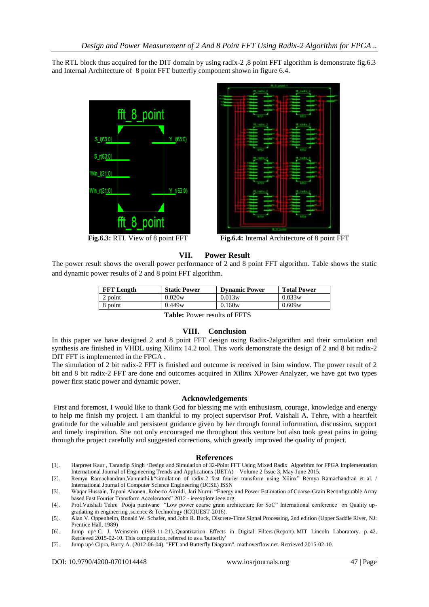The RTL block thus acquired for the DIT domain by using radix-2 ,8 point FFT algorithm is demonstrate fig.6.3 and Internal Architecture of 8 point FFT butterfly component shown in figure 6.4.





 **Fig.6.3:** RTL View of 8 point FFT **Fig.6.4:** Internal Architecture of 8 point FFT

## **VII. Power Result**

The power result shows the overall power performance of 2 and 8 point FFT algorithm. Table shows the static and dynamic power results of 2 and 8 point FFT algorithm.

| <b>FFT</b> Length | <b>Static Power</b> | <b>Dynamic Power</b> | <b>Total Power</b> |
|-------------------|---------------------|----------------------|--------------------|
| 2 point           | 0.020w              | 0.013w               | 0.033w             |
| 8 point           | 0.449w              | 0.160w               | 0.609w             |

**Table:** Power results of FFTS

#### **VIII. Conclusion**

In this paper we have designed 2 and 8 point FFT design using Radix-2algorithm and their simulation and synthesis are finished in VHDL using Xilinx 14.2 tool. This work demonstrate the design of 2 and 8 bit radix-2 DIT FFT is implemented in the FPGA .

The simulation of 2 bit radix-2 FFT is finished and outcome is received in Isim window. The power result of 2 bit and 8 bit radix-2 FFT are done and outcomes acquired in Xilinx XPower Analyzer, we have got two types power first static power and dynamic power.

#### **Acknowledgements**

First and foremost, I would like to thank God for blessing me with enthusiasm, courage, knowledge and energy to help me finish my project. I am thankful to my project supervisor Prof. Vaishali A. Tehre, with a heartfelt gratitude for the valuable and persistent guidance given by her through formal information, discussion, support and timely inspiration. She not only encouraged me throughout this venture but also took great pains in going through the project carefully and suggested corrections, which greatly improved the quality of project.

#### **References**

- [1]. Harpreet Kaur , Tarandip Singh ‗Design and Simulation of 32-Point FFT Using Mixed Radix Algorithm for FPGA Implementation International Journal of Engineering Trends and Applications (IJETA) – Volume 2 Issue 3, May-June 2015.
- [2]. Remya Ramachandran, Vanmathi.k"simulation of radix-2 fast fourier transform using Xilinx" Remya Ramachandran et al. / International Journal of Computer Science Engineering (IJCSE) ISSN

[3]. Waqar Hussain, Tapani Ahonen, Roberto Airoldi, Jari Nurmi "Energy and Power Estimation of Coarse-Grain Reconfigurable Array based Fast Fourier Transform Accelerators" 2012 - ieeexplore.ieee.org

- [4]. Prof.Vaishali Tehre Pooja pantwane "Low power coarse grain architecture for SoC" International conference on Quality upgradating in engineering ,science & Technology (ICQUEST-2016).
- [5]. Alan V. Oppenheim, Ronald W. Schafer, and John R. Buck, Discrete-Time Signal Processing, 2nd edition (Upper Saddle River, NJ: Prentice Hall, 1989)

[6]. [Jump up^](https://en.wikipedia.org/wiki/Butterfly_diagram#cite_ref-2) C. J. Weinstein (1969-11-21). [Quantization Effects in Digital Filters](http://www.dtic.mil/cgi-bin/GetTRDoc?AD=AD0706862) (Report). [MIT Lincoln Laboratory.](https://en.wikipedia.org/wiki/MIT_Lincoln_Laboratory) p. 42. Retrieved 2015-02-10. This computation, referred to as a 'butterfly'

[7]. [Jump up^](https://en.wikipedia.org/wiki/Butterfly_diagram#cite_ref-3) [Cipra, Barry A.](https://en.wikipedia.org/wiki/Barry_A._Cipra) (2012-06-04). ["FFT and Butterfly Diagram".](http://mathoverflow.net/a/98804) mathoverflow.net. Retrieved 2015-02-10.